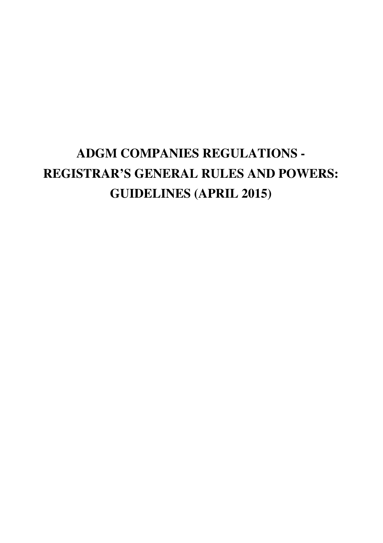# **ADGM COMPANIES REGULATIONS - REGISTRAR'S GENERAL RULES AND POWERS: GUIDELINES (APRIL 2015)**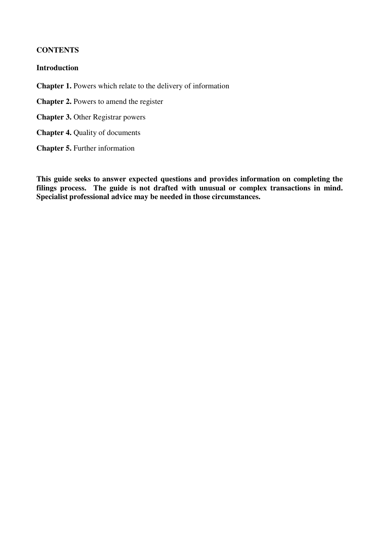## **CONTENTS**

## **Introduction**

**Chapter 1.** Powers which relate to the delivery of information

**Chapter 2.** Powers to amend the register

**Chapter 3. Other Registrar powers** 

**Chapter 4.** Quality of documents

**Chapter 5.** Further information

**This guide seeks to answer expected questions and provides information on completing the filings process. The guide is not drafted with unusual or complex transactions in mind. Specialist professional advice may be needed in those circumstances.**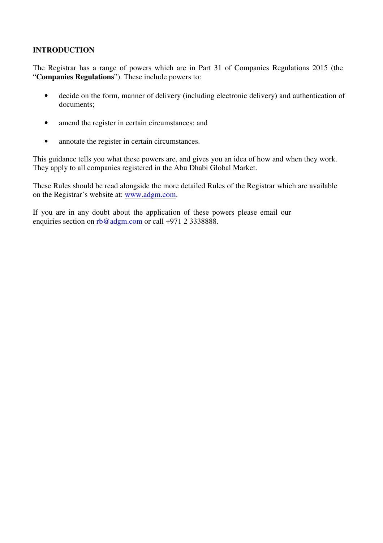# **INTRODUCTION**

The Registrar has a range of powers which are in Part 31 of Companies Regulations 2015 (the "**Companies Regulations**"). These include powers to:

- decide on the form, manner of delivery (including electronic delivery) and authentication of documents;
- amend the register in certain circumstances; and
- annotate the register in certain circumstances.

This guidance tells you what these powers are, and gives you an idea of how and when they work. They apply to all companies registered in the Abu Dhabi Global Market.

These Rules should be read alongside the more detailed Rules of the Registrar which are available on the Registrar's website at: www.adgm.com.

If you are in any doubt about the application of these powers please email our enquiries section on rb@adgm.com or call +971 2 3338888.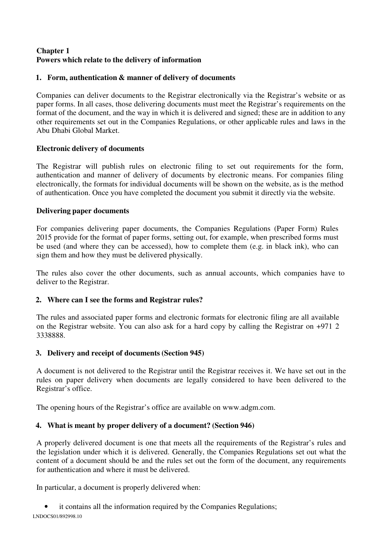# **Chapter 1 Powers which relate to the delivery of information**

## **1. Form, authentication & manner of delivery of documents**

Companies can deliver documents to the Registrar electronically via the Registrar's website or as paper forms. In all cases, those delivering documents must meet the Registrar's requirements on the format of the document, and the way in which it is delivered and signed; these are in addition to any other requirements set out in the Companies Regulations, or other applicable rules and laws in the Abu Dhabi Global Market.

## **Electronic delivery of documents**

The Registrar will publish rules on electronic filing to set out requirements for the form, authentication and manner of delivery of documents by electronic means. For companies filing electronically, the formats for individual documents will be shown on the website, as is the method of authentication. Once you have completed the document you submit it directly via the website.

# **Delivering paper documents**

For companies delivering paper documents, the Companies Regulations (Paper Form) Rules 2015 provide for the format of paper forms, setting out, for example, when prescribed forms must be used (and where they can be accessed), how to complete them (e.g. in black ink), who can sign them and how they must be delivered physically.

The rules also cover the other documents, such as annual accounts, which companies have to deliver to the Registrar.

# **2. Where can I see the forms and Registrar rules?**

The rules and associated paper forms and electronic formats for electronic filing are all available on the Registrar website. You can also ask for a hard copy by calling the Registrar on +971 2 3338888.

## **3. Delivery and receipt of documents (Section 945)**

A document is not delivered to the Registrar until the Registrar receives it. We have set out in the rules on paper delivery when documents are legally considered to have been delivered to the Registrar's office.

The opening hours of the Registrar's office are available on www.adgm.com.

# **4. What is meant by proper delivery of a document? (Section 946)**

A properly delivered document is one that meets all the requirements of the Registrar's rules and the legislation under which it is delivered. Generally, the Companies Regulations set out what the content of a document should be and the rules set out the form of the document, any requirements for authentication and where it must be delivered.

In particular, a document is properly delivered when:

it contains all the information required by the Companies Regulations;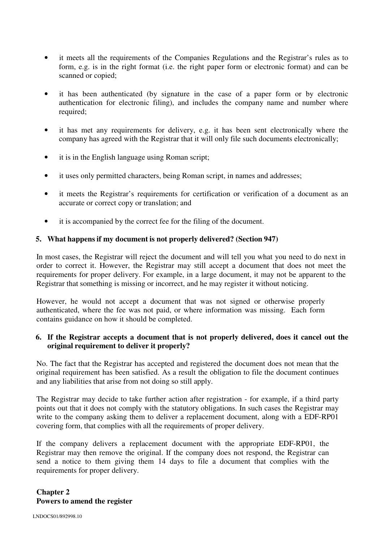- it meets all the requirements of the Companies Regulations and the Registrar's rules as to form, e.g. is in the right format (i.e. the right paper form or electronic format) and can be scanned or copied;
- it has been authenticated (by signature in the case of a paper form or by electronic authentication for electronic filing), and includes the company name and number where required;
- it has met any requirements for delivery, e.g. it has been sent electronically where the company has agreed with the Registrar that it will only file such documents electronically;
- it is in the English language using Roman script;
- it uses only permitted characters, being Roman script, in names and addresses;
- it meets the Registrar's requirements for certification or verification of a document as an accurate or correct copy or translation; and
- it is accompanied by the correct fee for the filing of the document.

## **5. What happens if my document is not properly delivered? (Section 947)**

In most cases, the Registrar will reject the document and will tell you what you need to do next in order to correct it. However, the Registrar may still accept a document that does not meet the requirements for proper delivery. For example, in a large document, it may not be apparent to the Registrar that something is missing or incorrect, and he may register it without noticing.

However, he would not accept a document that was not signed or otherwise properly authenticated, where the fee was not paid, or where information was missing. Each form contains guidance on how it should be completed.

## **6. If the Registrar accepts a document that is not properly delivered, does it cancel out the original requirement to deliver it properly?**

No. The fact that the Registrar has accepted and registered the document does not mean that the original requirement has been satisfied. As a result the obligation to file the document continues and any liabilities that arise from not doing so still apply.

The Registrar may decide to take further action after registration - for example, if a third party points out that it does not comply with the statutory obligations. In such cases the Registrar may write to the company asking them to deliver a replacement document, along with a EDF-RP01 covering form, that complies with all the requirements of proper delivery.

If the company delivers a replacement document with the appropriate EDF-RP01, the Registrar may then remove the original. If the company does not respond, the Registrar can send a notice to them giving them 14 days to file a document that complies with the requirements for proper delivery.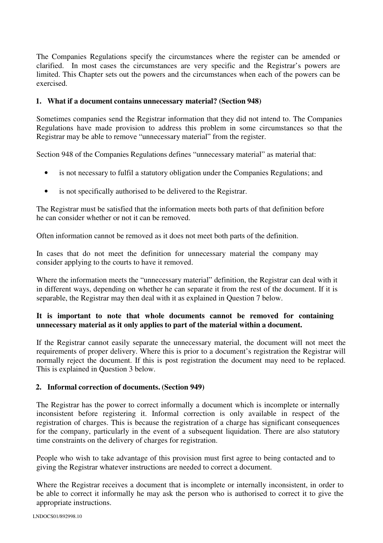The Companies Regulations specify the circumstances where the register can be amended or clarified. In most cases the circumstances are very specific and the Registrar's powers are limited. This Chapter sets out the powers and the circumstances when each of the powers can be exercised.

#### **1. What if a document contains unnecessary material? (Section 948)**

Sometimes companies send the Registrar information that they did not intend to. The Companies Regulations have made provision to address this problem in some circumstances so that the Registrar may be able to remove "unnecessary material" from the register.

Section 948 of the Companies Regulations defines "unnecessary material" as material that:

- is not necessary to fulfil a statutory obligation under the Companies Regulations; and
- is not specifically authorised to be delivered to the Registrar.

The Registrar must be satisfied that the information meets both parts of that definition before he can consider whether or not it can be removed.

Often information cannot be removed as it does not meet both parts of the definition.

In cases that do not meet the definition for unnecessary material the company may consider applying to the courts to have it removed.

Where the information meets the "unnecessary material" definition, the Registrar can deal with it in different ways, depending on whether he can separate it from the rest of the document. If it is separable, the Registrar may then deal with it as explained in Question 7 below.

## **It is important to note that whole documents cannot be removed for containing unnecessary material as it only applies to part of the material within a document.**

If the Registrar cannot easily separate the unnecessary material, the document will not meet the requirements of proper delivery. Where this is prior to a document's registration the Registrar will normally reject the document. If this is post registration the document may need to be replaced. This is explained in Question 3 below.

#### **2. Informal correction of documents. (Section 949)**

The Registrar has the power to correct informally a document which is incomplete or internally inconsistent before registering it. Informal correction is only available in respect of the registration of charges. This is because the registration of a charge has significant consequences for the company, particularly in the event of a subsequent liquidation. There are also statutory time constraints on the delivery of charges for registration.

People who wish to take advantage of this provision must first agree to being contacted and to giving the Registrar whatever instructions are needed to correct a document.

Where the Registrar receives a document that is incomplete or internally inconsistent, in order to be able to correct it informally he may ask the person who is authorised to correct it to give the appropriate instructions.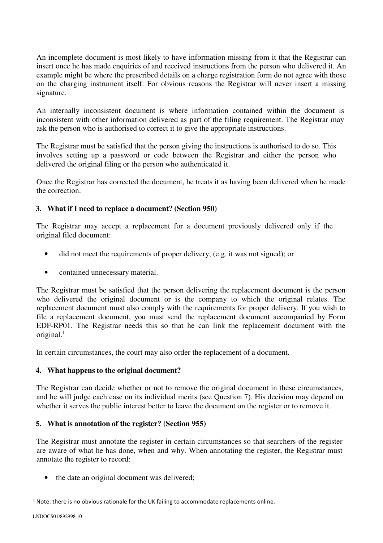An incomplete document is most likely to have information missing from it that the Registrar can insert once he has made enquiries of and received instructions from the person who delivered it. An example might be where the prescribed details on a charge registration form do not agree with those on the charging instrument itself. For obvious reasons the Registrar will never insert a missing signature.

An internally inconsistent document is where information contained within the document is inconsistent with other information delivered as part of the filing requirement. The Registrar may ask the person who is authorised to correct it to give the appropriate instructions.

The Registrar must be satisfied that the person giving the instructions is authorised to do so. This involves setting up a password or code between the Registrar and either the person who delivered the original filing or the person who authenticated it.

Once the Registrar has corrected the document, he treats it as having been delivered when he made the correction.

# **3. What if I need to replace a document? (Section 950)**

The Registrar may accept a replacement for a document previously delivered only if the original filed document:

- did not meet the requirements of proper delivery, (e.g. it was not signed); or
- contained unnecessary material.

The Registrar must be satisfied that the person delivering the replacement document is the person who delivered the original document or is the company to which the original relates. The replacement document must also comply with the requirements for proper delivery. If you wish to file a replacement document, you must send the replacement document accompanied by Form EDF-RP01. The Registrar needs this so that he can link the replacement document with the original. $<sup>1</sup>$ </sup>

In certain circumstances, the court may also order the replacement of a document.

## **4. What happens to the original document?**

The Registrar can decide whether or not to remove the original document in these circumstances, and he will judge each case on its individual merits (see Question 7). His decision may depend on whether it serves the public interest better to leave the document on the register or to remove it.

## **5. What is annotation of the register? (Section 955)**

The Registrar must annotate the register in certain circumstances so that searchers of the register are aware of what he has done, when and why. When annotating the register, the Registrar must annotate the register to record:

the date an original document was delivered:

 $\overline{a}$ 

 $<sup>1</sup>$  Note: there is no obvious rationale for the UK failing to accommodate replacements online.</sup>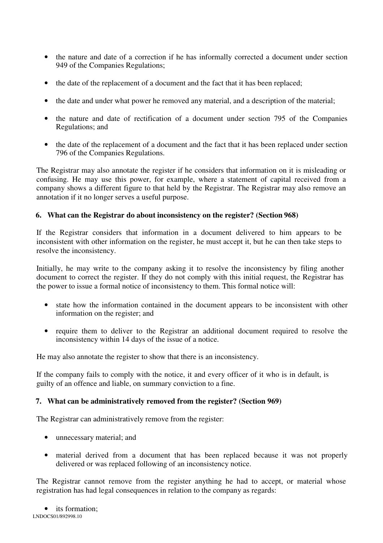- the nature and date of a correction if he has informally corrected a document under section 949 of the Companies Regulations;
- the date of the replacement of a document and the fact that it has been replaced;
- the date and under what power he removed any material, and a description of the material;
- the nature and date of rectification of a document under section 795 of the Companies Regulations; and
- the date of the replacement of a document and the fact that it has been replaced under section 796 of the Companies Regulations.

The Registrar may also annotate the register if he considers that information on it is misleading or confusing. He may use this power, for example, where a statement of capital received from a company shows a different figure to that held by the Registrar. The Registrar may also remove an annotation if it no longer serves a useful purpose.

## **6. What can the Registrar do about inconsistency on the register? (Section 968)**

If the Registrar considers that information in a document delivered to him appears to be inconsistent with other information on the register, he must accept it, but he can then take steps to resolve the inconsistency.

Initially, he may write to the company asking it to resolve the inconsistency by filing another document to correct the register. If they do not comply with this initial request, the Registrar has the power to issue a formal notice of inconsistency to them. This formal notice will:

- state how the information contained in the document appears to be inconsistent with other information on the register; and
- require them to deliver to the Registrar an additional document required to resolve the inconsistency within 14 days of the issue of a notice.

He may also annotate the register to show that there is an inconsistency.

If the company fails to comply with the notice, it and every officer of it who is in default, is guilty of an offence and liable, on summary conviction to a fine.

## **7. What can be administratively removed from the register? (Section 969)**

The Registrar can administratively remove from the register:

- unnecessary material; and
- material derived from a document that has been replaced because it was not properly delivered or was replaced following of an inconsistency notice.

The Registrar cannot remove from the register anything he had to accept, or material whose registration has had legal consequences in relation to the company as regards: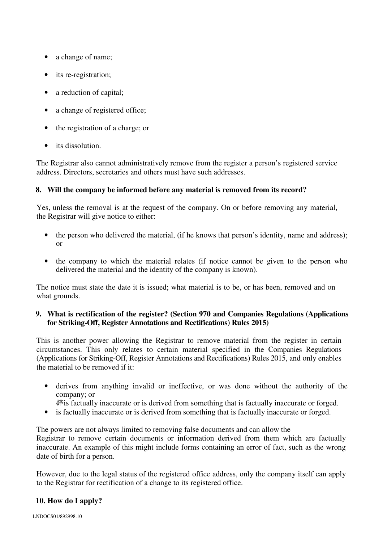- a change of name;
- its re-registration;
- a reduction of capital;
- a change of registered office;
- the registration of a charge; or
- its dissolution.

The Registrar also cannot administratively remove from the register a person's registered service address. Directors, secretaries and others must have such addresses.

## **8. Will the company be informed before any material is removed from its record?**

Yes, unless the removal is at the request of the company. On or before removing any material, the Registrar will give notice to either:

- the person who delivered the material, (if he knows that person's identity, name and address); or
- the company to which the material relates (if notice cannot be given to the person who delivered the material and the identity of the company is known).

The notice must state the date it is issued; what material is to be, or has been, removed and on what grounds.

## **9. What is rectification of the register? (Section 970 and Companies Regulations (Applications for Striking-Off, Register Annotations and Rectifications) Rules 2015)**

This is another power allowing the Registrar to remove material from the register in certain circumstances. This only relates to certain material specified in the Companies Regulations (Applications for Striking-Off, Register Annotations and Rectifications) Rules 2015, and only enables the material to be removed if it:

- derives from anything invalid or ineffective, or was done without the authority of the company; or
	- 辟 is factually inaccurate or is derived from something that is factually inaccurate or forged.
- is factually inaccurate or is derived from something that is factually inaccurate or forged.

The powers are not always limited to removing false documents and can allow the Registrar to remove certain documents or information derived from them which are factually inaccurate. An example of this might include forms containing an error of fact, such as the wrong date of birth for a person.

However, due to the legal status of the registered office address, only the company itself can apply to the Registrar for rectification of a change to its registered office.

## **10. How do I apply?**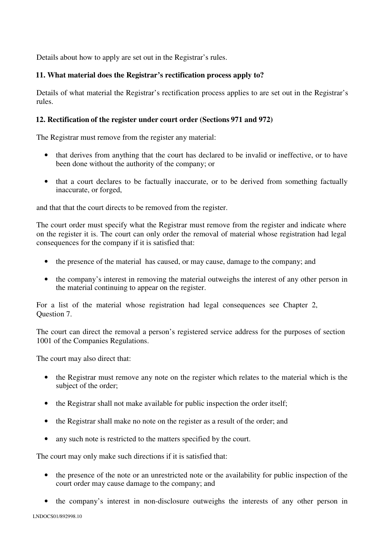Details about how to apply are set out in the Registrar's rules.

## **11. What material does the Registrar's rectification process apply to?**

Details of what material the Registrar's rectification process applies to are set out in the Registrar's rules.

#### **12. Rectification of the register under court order (Sections 971 and 972)**

The Registrar must remove from the register any material:

- that derives from anything that the court has declared to be invalid or ineffective, or to have been done without the authority of the company; or
- that a court declares to be factually inaccurate, or to be derived from something factually inaccurate, or forged,

and that that the court directs to be removed from the register.

The court order must specify what the Registrar must remove from the register and indicate where on the register it is. The court can only order the removal of material whose registration had legal consequences for the company if it is satisfied that:

- the presence of the material has caused, or may cause, damage to the company; and
- the company's interest in removing the material outweighs the interest of any other person in the material continuing to appear on the register.

For a list of the material whose registration had legal consequences see Chapter 2, Question 7.

The court can direct the removal a person's registered service address for the purposes of section 1001 of the Companies Regulations.

The court may also direct that:

- the Registrar must remove any note on the register which relates to the material which is the subject of the order;
- the Registrar shall not make available for public inspection the order itself;
- the Registrar shall make no note on the register as a result of the order; and
- any such note is restricted to the matters specified by the court.

The court may only make such directions if it is satisfied that:

- the presence of the note or an unrestricted note or the availability for public inspection of the court order may cause damage to the company; and
- the company's interest in non-disclosure outweighs the interests of any other person in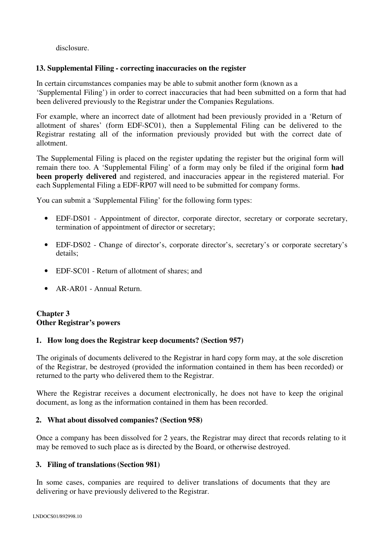disclosure.

## **13. Supplemental Filing - correcting inaccuracies on the register**

In certain circumstances companies may be able to submit another form (known as a 'Supplemental Filing') in order to correct inaccuracies that had been submitted on a form that had been delivered previously to the Registrar under the Companies Regulations.

For example, where an incorrect date of allotment had been previously provided in a 'Return of allotment of shares' (form EDF-SC01), then a Supplemental Filing can be delivered to the Registrar restating all of the information previously provided but with the correct date of allotment.

The Supplemental Filing is placed on the register updating the register but the original form will remain there too. A 'Supplemental Filing' of a form may only be filed if the original form **had been properly delivered** and registered, and inaccuracies appear in the registered material. For each Supplemental Filing a EDF-RP07 will need to be submitted for company forms.

You can submit a 'Supplemental Filing' for the following form types:

- EDF-DS01 Appointment of director, corporate director, secretary or corporate secretary, termination of appointment of director or secretary;
- EDF-DS02 Change of director's, corporate director's, secretary's or corporate secretary's details;
- EDF-SC01 Return of allotment of shares; and
- AR-AR01 Annual Return.

## **Chapter 3 Other Registrar's powers**

#### **1. How long does the Registrar keep documents? (Section 957)**

The originals of documents delivered to the Registrar in hard copy form may, at the sole discretion of the Registrar, be destroyed (provided the information contained in them has been recorded) or returned to the party who delivered them to the Registrar.

Where the Registrar receives a document electronically, he does not have to keep the original document, as long as the information contained in them has been recorded.

#### **2. What about dissolved companies? (Section 958)**

Once a company has been dissolved for 2 years, the Registrar may direct that records relating to it may be removed to such place as is directed by the Board, or otherwise destroyed.

#### **3. Filing of translations (Section 981)**

In some cases, companies are required to deliver translations of documents that they are delivering or have previously delivered to the Registrar.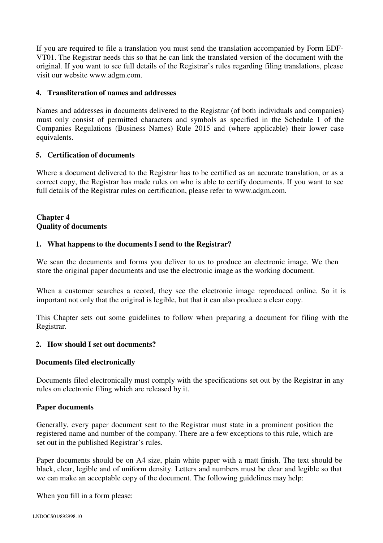If you are required to file a translation you must send the translation accompanied by Form EDF-VT01. The Registrar needs this so that he can link the translated version of the document with the original. If you want to see full details of the Registrar's rules regarding filing translations, please visit our website www.adgm.com.

## **4. Transliteration of names and addresses**

Names and addresses in documents delivered to the Registrar (of both individuals and companies) must only consist of permitted characters and symbols as specified in the Schedule 1 of the Companies Regulations (Business Names) Rule 2015 and (where applicable) their lower case equivalents.

## **5. Certification of documents**

Where a document delivered to the Registrar has to be certified as an accurate translation, or as a correct copy, the Registrar has made rules on who is able to certify documents. If you want to see full details of the Registrar rules on certification, please refer to www.adgm.com.

# **Chapter 4 Quality of documents**

#### **1. What happens to the documents I send to the Registrar?**

We scan the documents and forms you deliver to us to produce an electronic image. We then store the original paper documents and use the electronic image as the working document.

When a customer searches a record, they see the electronic image reproduced online. So it is important not only that the original is legible, but that it can also produce a clear copy.

This Chapter sets out some guidelines to follow when preparing a document for filing with the Registrar.

#### **2. How should I set out documents?**

#### **Documents filed electronically**

Documents filed electronically must comply with the specifications set out by the Registrar in any rules on electronic filing which are released by it.

#### **Paper documents**

Generally, every paper document sent to the Registrar must state in a prominent position the registered name and number of the company. There are a few exceptions to this rule, which are set out in the published Registrar's rules.

Paper documents should be on A4 size, plain white paper with a matt finish. The text should be black, clear, legible and of uniform density. Letters and numbers must be clear and legible so that we can make an acceptable copy of the document. The following guidelines may help:

When you fill in a form please: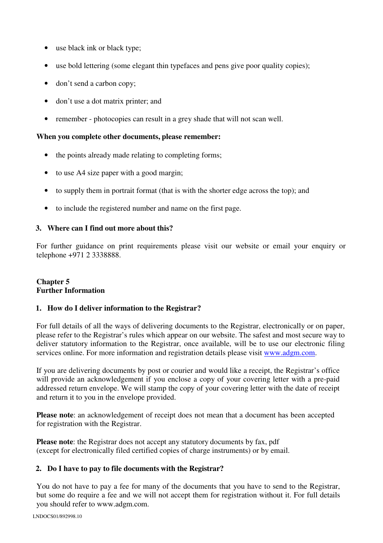- use black ink or black type;
- use bold lettering (some elegant thin typefaces and pens give poor quality copies);
- don't send a carbon copy;
- don't use a dot matrix printer; and
- remember photocopies can result in a grey shade that will not scan well.

## **When you complete other documents, please remember:**

- the points already made relating to completing forms;
- to use A4 size paper with a good margin;
- to supply them in portrait format (that is with the shorter edge across the top); and
- to include the registered number and name on the first page.

#### **3. Where can I find out more about this?**

For further guidance on print requirements please visit our website or email your enquiry or telephone +971 2 3338888.

## **Chapter 5 Further Information**

## **1. How do I deliver information to the Registrar?**

For full details of all the ways of delivering documents to the Registrar, electronically or on paper, please refer to the Registrar's rules which appear on our website. The safest and most secure way to deliver statutory information to the Registrar, once available, will be to use our electronic filing services online. For more information and registration details please visit www.adgm.com.

If you are delivering documents by post or courier and would like a receipt, the Registrar's office will provide an acknowledgement if you enclose a copy of your covering letter with a pre-paid addressed return envelope. We will stamp the copy of your covering letter with the date of receipt and return it to you in the envelope provided.

**Please note**: an acknowledgement of receipt does not mean that a document has been accepted for registration with the Registrar.

**Please note**: the Registrar does not accept any statutory documents by fax, pdf (except for electronically filed certified copies of charge instruments) or by email.

#### **2. Do I have to pay to file documents with the Registrar?**

You do not have to pay a fee for many of the documents that you have to send to the Registrar, but some do require a fee and we will not accept them for registration without it. For full details you should refer to www.adgm.com.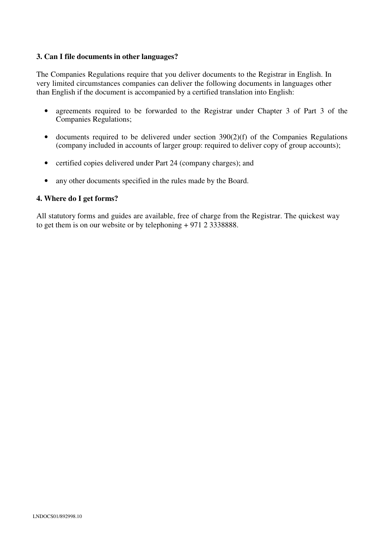## **3. Can I file documents in other languages?**

The Companies Regulations require that you deliver documents to the Registrar in English. In very limited circumstances companies can deliver the following documents in languages other than English if the document is accompanied by a certified translation into English:

- agreements required to be forwarded to the Registrar under Chapter 3 of Part 3 of the Companies Regulations;
- $\bullet$  documents required to be delivered under section 390(2)(f) of the Companies Regulations (company included in accounts of larger group: required to deliver copy of group accounts);
- certified copies delivered under Part 24 (company charges); and
- any other documents specified in the rules made by the Board.

## **4. Where do I get forms?**

All statutory forms and guides are available, free of charge from the Registrar. The quickest way to get them is on our website or by telephoning + 971 2 3338888.